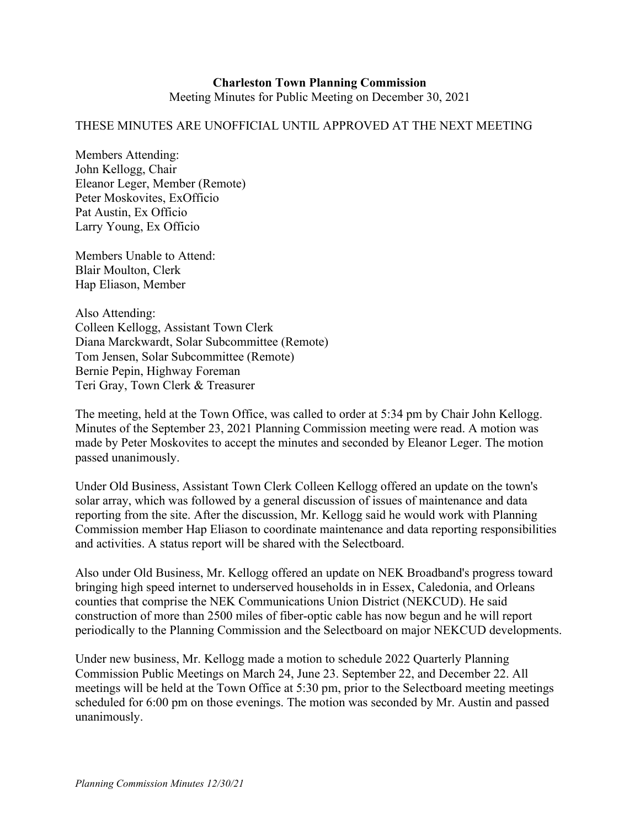## **Charleston Town Planning Commission** Meeting Minutes for Public Meeting on December 30, 2021

## THESE MINUTES ARE UNOFFICIAL UNTIL APPROVED AT THE NEXT MEETING

Members Attending: John Kellogg, Chair Eleanor Leger, Member (Remote) Peter Moskovites, ExOfficio Pat Austin, Ex Officio Larry Young, Ex Officio

Members Unable to Attend: Blair Moulton, Clerk Hap Eliason, Member

Also Attending: Colleen Kellogg, Assistant Town Clerk Diana Marckwardt, Solar Subcommittee (Remote) Tom Jensen, Solar Subcommittee (Remote) Bernie Pepin, Highway Foreman Teri Gray, Town Clerk & Treasurer

The meeting, held at the Town Office, was called to order at 5:34 pm by Chair John Kellogg. Minutes of the September 23, 2021 Planning Commission meeting were read. A motion was made by Peter Moskovites to accept the minutes and seconded by Eleanor Leger. The motion passed unanimously.

Under Old Business, Assistant Town Clerk Colleen Kellogg offered an update on the town's solar array, which was followed by a general discussion of issues of maintenance and data reporting from the site. After the discussion, Mr. Kellogg said he would work with Planning Commission member Hap Eliason to coordinate maintenance and data reporting responsibilities and activities. A status report will be shared with the Selectboard.

Also under Old Business, Mr. Kellogg offered an update on NEK Broadband's progress toward bringing high speed internet to underserved households in in Essex, Caledonia, and Orleans counties that comprise the NEK Communications Union District (NEKCUD). He said construction of more than 2500 miles of fiber-optic cable has now begun and he will report periodically to the Planning Commission and the Selectboard on major NEKCUD developments.

Under new business, Mr. Kellogg made a motion to schedule 2022 Quarterly Planning Commission Public Meetings on March 24, June 23. September 22, and December 22. All meetings will be held at the Town Office at 5:30 pm, prior to the Selectboard meeting meetings scheduled for 6:00 pm on those evenings. The motion was seconded by Mr. Austin and passed unanimously.